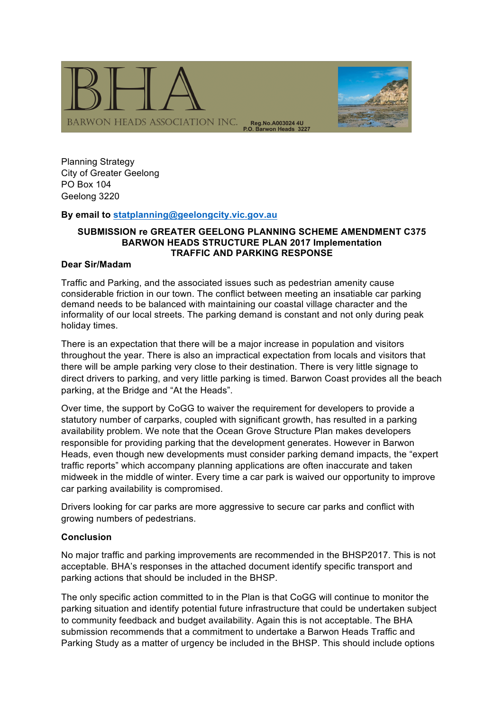

Planning Strategy City of Greater Geelong PO Box 104 Geelong 3220

## **By email to statplanning@geelongcity.vic.gov.au**

## **SUBMISSION re GREATER GEELONG PLANNING SCHEME AMENDMENT C375 BARWON HEADS STRUCTURE PLAN 2017 Implementation TRAFFIC AND PARKING RESPONSE**

### **Dear Sir/Madam**

Traffic and Parking, and the associated issues such as pedestrian amenity cause considerable friction in our town. The conflict between meeting an insatiable car parking demand needs to be balanced with maintaining our coastal village character and the informality of our local streets. The parking demand is constant and not only during peak holiday times.

There is an expectation that there will be a major increase in population and visitors throughout the year. There is also an impractical expectation from locals and visitors that there will be ample parking very close to their destination. There is very little signage to direct drivers to parking, and very little parking is timed. Barwon Coast provides all the beach parking, at the Bridge and "At the Heads".

Over time, the support by CoGG to waiver the requirement for developers to provide a statutory number of carparks, coupled with significant growth, has resulted in a parking availability problem. We note that the Ocean Grove Structure Plan makes developers responsible for providing parking that the development generates. However in Barwon Heads, even though new developments must consider parking demand impacts, the "expert traffic reports" which accompany planning applications are often inaccurate and taken midweek in the middle of winter. Every time a car park is waived our opportunity to improve car parking availability is compromised.

Drivers looking for car parks are more aggressive to secure car parks and conflict with growing numbers of pedestrians.

### **Conclusion**

No major traffic and parking improvements are recommended in the BHSP2017. This is not acceptable. BHA's responses in the attached document identify specific transport and parking actions that should be included in the BHSP.

The only specific action committed to in the Plan is that CoGG will continue to monitor the parking situation and identify potential future infrastructure that could be undertaken subject to community feedback and budget availability. Again this is not acceptable. The BHA submission recommends that a commitment to undertake a Barwon Heads Traffic and Parking Study as a matter of urgency be included in the BHSP. This should include options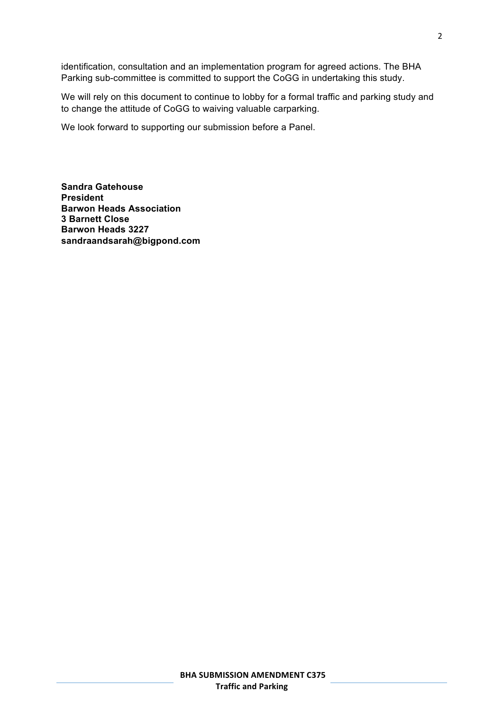identification, consultation and an implementation program for agreed actions. The BHA Parking sub-committee is committed to support the CoGG in undertaking this study.

We will rely on this document to continue to lobby for a formal traffic and parking study and to change the attitude of CoGG to waiving valuable carparking.

We look forward to supporting our submission before a Panel.

**Sandra Gatehouse President Barwon Heads Association 3 Barnett Close Barwon Heads 3227 sandraandsarah@bigpond.com**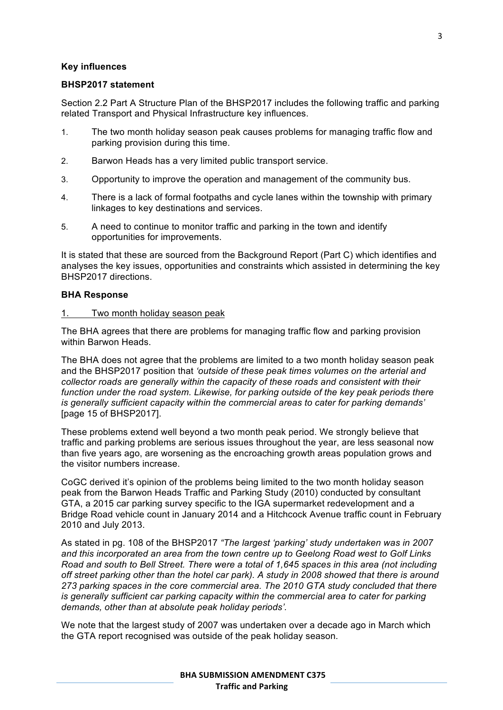### **Key influences**

#### **BHSP2017 statement**

Section 2.2 Part A Structure Plan of the BHSP2017 includes the following traffic and parking related Transport and Physical Infrastructure key influences.

- 1. The two month holiday season peak causes problems for managing traffic flow and parking provision during this time.
- 2. Barwon Heads has a very limited public transport service.
- 3. Opportunity to improve the operation and management of the community bus.
- 4. There is a lack of formal footpaths and cycle lanes within the township with primary linkages to key destinations and services.
- 5. A need to continue to monitor traffic and parking in the town and identify opportunities for improvements.

It is stated that these are sourced from the Background Report (Part C) which identifies and analyses the key issues, opportunities and constraints which assisted in determining the key BHSP2017 directions.

#### **BHA Response**

1. Two month holiday season peak

The BHA agrees that there are problems for managing traffic flow and parking provision within Barwon Heads.

The BHA does not agree that the problems are limited to a two month holiday season peak and the BHSP2017 position that *'outside of these peak times volumes on the arterial and collector roads are generally within the capacity of these roads and consistent with their*  function under the road system. Likewise, for parking outside of the key peak periods there *is generally sufficient capacity within the commercial areas to cater for parking demands'* [page 15 of BHSP2017].

These problems extend well beyond a two month peak period. We strongly believe that traffic and parking problems are serious issues throughout the year, are less seasonal now than five years ago, are worsening as the encroaching growth areas population grows and the visitor numbers increase.

CoGC derived it's opinion of the problems being limited to the two month holiday season peak from the Barwon Heads Traffic and Parking Study (2010) conducted by consultant GTA, a 2015 car parking survey specific to the IGA supermarket redevelopment and a Bridge Road vehicle count in January 2014 and a Hitchcock Avenue traffic count in February 2010 and July 2013.

As stated in pg. 108 of the BHSP2017 *"The largest 'parking' study undertaken was in 2007 and this incorporated an area from the town centre up to Geelong Road west to Golf Links Road and south to Bell Street. There were a total of 1,645 spaces in this area (not including off street parking other than the hotel car park). A study in 2008 showed that there is around 273 parking spaces in the core commercial area. The 2010 GTA study concluded that there is generally sufficient car parking capacity within the commercial area to cater for parking demands, other than at absolute peak holiday periods'.*

We note that the largest study of 2007 was undertaken over a decade ago in March which the GTA report recognised was outside of the peak holiday season.

#### **BHA SUBMISSION AMENDMENT C375 Traffic and Parking**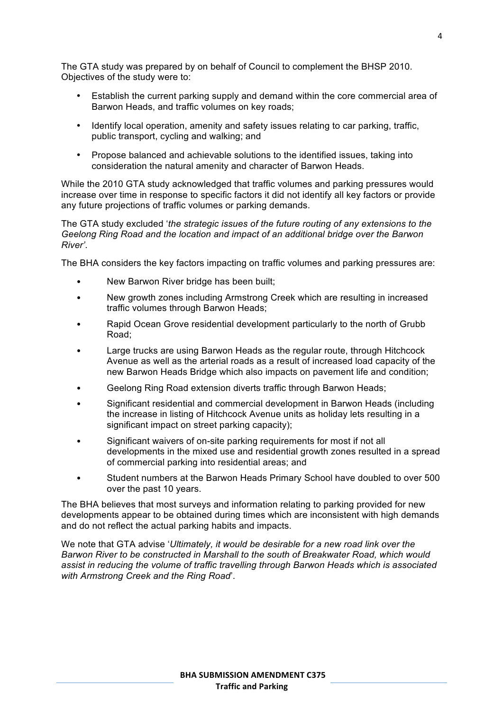The GTA study was prepared by on behalf of Council to complement the BHSP 2010. Objectives of the study were to:

- Establish the current parking supply and demand within the core commercial area of Barwon Heads, and traffic volumes on key roads;
- Identify local operation, amenity and safety issues relating to car parking, traffic, public transport, cycling and walking; and
- Propose balanced and achievable solutions to the identified issues, taking into consideration the natural amenity and character of Barwon Heads.

While the 2010 GTA study acknowledged that traffic volumes and parking pressures would increase over time in response to specific factors it did not identify all key factors or provide any future projections of traffic volumes or parking demands.

The GTA study excluded '*the strategic issues of the future routing of any extensions to the Geelong Ring Road and the location and impact of an additional bridge over the Barwon River'*.

The BHA considers the key factors impacting on traffic volumes and parking pressures are:

- New Barwon River bridge has been built;
- New growth zones including Armstrong Creek which are resulting in increased traffic volumes through Barwon Heads;
- Rapid Ocean Grove residential development particularly to the north of Grubb Road;
- Large trucks are using Barwon Heads as the regular route, through Hitchcock Avenue as well as the arterial roads as a result of increased load capacity of the new Barwon Heads Bridge which also impacts on pavement life and condition;
- Geelong Ring Road extension diverts traffic through Barwon Heads;
- Significant residential and commercial development in Barwon Heads (including the increase in listing of Hitchcock Avenue units as holiday lets resulting in a significant impact on street parking capacity);
- Significant waivers of on-site parking requirements for most if not all developments in the mixed use and residential growth zones resulted in a spread of commercial parking into residential areas; and
- Student numbers at the Barwon Heads Primary School have doubled to over 500 over the past 10 years.

The BHA believes that most surveys and information relating to parking provided for new developments appear to be obtained during times which are inconsistent with high demands and do not reflect the actual parking habits and impacts.

We note that GTA advise '*Ultimately, it would be desirable for a new road link over the Barwon River to be constructed in Marshall to the south of Breakwater Road, which would assist in reducing the volume of traffic travelling through Barwon Heads which is associated with Armstrong Creek and the Ring Road*'.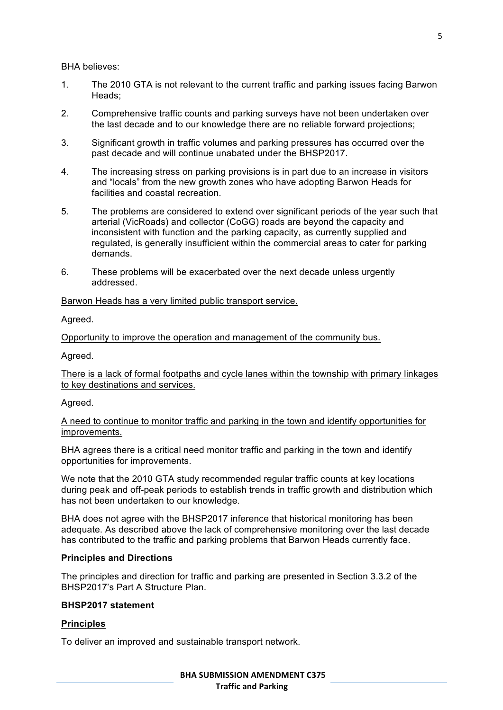BHA believes:

- 1. The 2010 GTA is not relevant to the current traffic and parking issues facing Barwon Heads;
- 2. Comprehensive traffic counts and parking surveys have not been undertaken over the last decade and to our knowledge there are no reliable forward projections;
- 3. Significant growth in traffic volumes and parking pressures has occurred over the past decade and will continue unabated under the BHSP2017.
- 4. The increasing stress on parking provisions is in part due to an increase in visitors and "locals" from the new growth zones who have adopting Barwon Heads for facilities and coastal recreation.
- 5. The problems are considered to extend over significant periods of the year such that arterial (VicRoads) and collector (CoGG) roads are beyond the capacity and inconsistent with function and the parking capacity, as currently supplied and regulated, is generally insufficient within the commercial areas to cater for parking demands.
- 6. These problems will be exacerbated over the next decade unless urgently addressed.

Barwon Heads has a very limited public transport service.

Agreed.

Opportunity to improve the operation and management of the community bus.

Agreed.

There is a lack of formal footpaths and cycle lanes within the township with primary linkages to key destinations and services.

### Agreed.

A need to continue to monitor traffic and parking in the town and identify opportunities for improvements.

BHA agrees there is a critical need monitor traffic and parking in the town and identify opportunities for improvements.

We note that the 2010 GTA study recommended regular traffic counts at key locations during peak and off-peak periods to establish trends in traffic growth and distribution which has not been undertaken to our knowledge.

BHA does not agree with the BHSP2017 inference that historical monitoring has been adequate. As described above the lack of comprehensive monitoring over the last decade has contributed to the traffic and parking problems that Barwon Heads currently face.

## **Principles and Directions**

The principles and direction for traffic and parking are presented in Section 3.3.2 of the BHSP2017's Part A Structure Plan.

## **BHSP2017 statement**

## **Principles**

To deliver an improved and sustainable transport network.

#### **BHA SUBMISSION AMENDMENT C375 Traffic and Parking**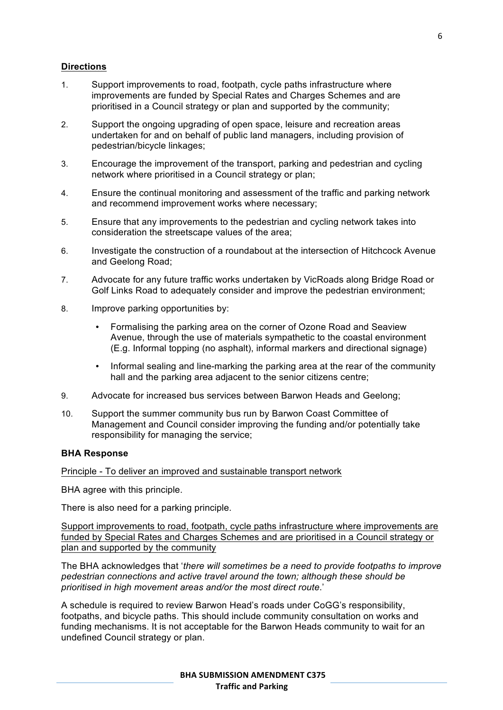## **Directions**

- 1. Support improvements to road, footpath, cycle paths infrastructure where improvements are funded by Special Rates and Charges Schemes and are prioritised in a Council strategy or plan and supported by the community;
- 2. Support the ongoing upgrading of open space, leisure and recreation areas undertaken for and on behalf of public land managers, including provision of pedestrian/bicycle linkages;
- 3. Encourage the improvement of the transport, parking and pedestrian and cycling network where prioritised in a Council strategy or plan;
- 4. Ensure the continual monitoring and assessment of the traffic and parking network and recommend improvement works where necessary;
- 5. Ensure that any improvements to the pedestrian and cycling network takes into consideration the streetscape values of the area;
- 6. Investigate the construction of a roundabout at the intersection of Hitchcock Avenue and Geelong Road;
- 7. Advocate for any future traffic works undertaken by VicRoads along Bridge Road or Golf Links Road to adequately consider and improve the pedestrian environment;
- 8. Improve parking opportunities by:
	- Formalising the parking area on the corner of Ozone Road and Seaview Avenue, through the use of materials sympathetic to the coastal environment (E.g. Informal topping (no asphalt), informal markers and directional signage)
	- Informal sealing and line-marking the parking area at the rear of the community hall and the parking area adjacent to the senior citizens centre;
- 9. Advocate for increased bus services between Barwon Heads and Geelong;
- 10. Support the summer community bus run by Barwon Coast Committee of Management and Council consider improving the funding and/or potentially take responsibility for managing the service;

### **BHA Response**

Principle - To deliver an improved and sustainable transport network

BHA agree with this principle.

There is also need for a parking principle.

Support improvements to road, footpath, cycle paths infrastructure where improvements are funded by Special Rates and Charges Schemes and are prioritised in a Council strategy or plan and supported by the community

The BHA acknowledges that '*there will sometimes be a need to provide footpaths to improve pedestrian connections and active travel around the town; although these should be prioritised in high movement areas and/or the most direct route*.'

A schedule is required to review Barwon Head's roads under CoGG's responsibility, footpaths, and bicycle paths. This should include community consultation on works and funding mechanisms. It is not acceptable for the Barwon Heads community to wait for an undefined Council strategy or plan.

### **BHA SUBMISSION AMENDMENT C375 Traffic and Parking**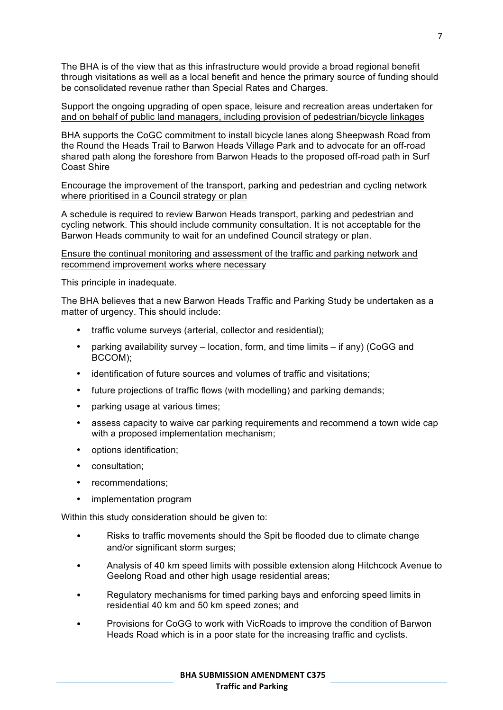The BHA is of the view that as this infrastructure would provide a broad regional benefit through visitations as well as a local benefit and hence the primary source of funding should be consolidated revenue rather than Special Rates and Charges.

Support the ongoing upgrading of open space, leisure and recreation areas undertaken for and on behalf of public land managers, including provision of pedestrian/bicycle linkages

BHA supports the CoGC commitment to install bicycle lanes along Sheepwash Road from the Round the Heads Trail to Barwon Heads Village Park and to advocate for an off-road shared path along the foreshore from Barwon Heads to the proposed off-road path in Surf Coast Shire

Encourage the improvement of the transport, parking and pedestrian and cycling network where prioritised in a Council strategy or plan

A schedule is required to review Barwon Heads transport, parking and pedestrian and cycling network. This should include community consultation. It is not acceptable for the Barwon Heads community to wait for an undefined Council strategy or plan.

Ensure the continual monitoring and assessment of the traffic and parking network and recommend improvement works where necessary

This principle in inadequate.

The BHA believes that a new Barwon Heads Traffic and Parking Study be undertaken as a matter of urgency. This should include:

- traffic volume surveys (arterial, collector and residential);
- parking availability survey location, form, and time limits if any) (CoGG and BCCOM);
- identification of future sources and volumes of traffic and visitations;
- future projections of traffic flows (with modelling) and parking demands;
- parking usage at various times;
- assess capacity to waive car parking requirements and recommend a town wide cap with a proposed implementation mechanism;
- options identification;
- consultation;
- recommendations;
- implementation program

Within this study consideration should be given to:

- Risks to traffic movements should the Spit be flooded due to climate change and/or significant storm surges;
- Analysis of 40 km speed limits with possible extension along Hitchcock Avenue to Geelong Road and other high usage residential areas;
- Regulatory mechanisms for timed parking bays and enforcing speed limits in residential 40 km and 50 km speed zones; and
- Provisions for CoGG to work with VicRoads to improve the condition of Barwon Heads Road which is in a poor state for the increasing traffic and cyclists.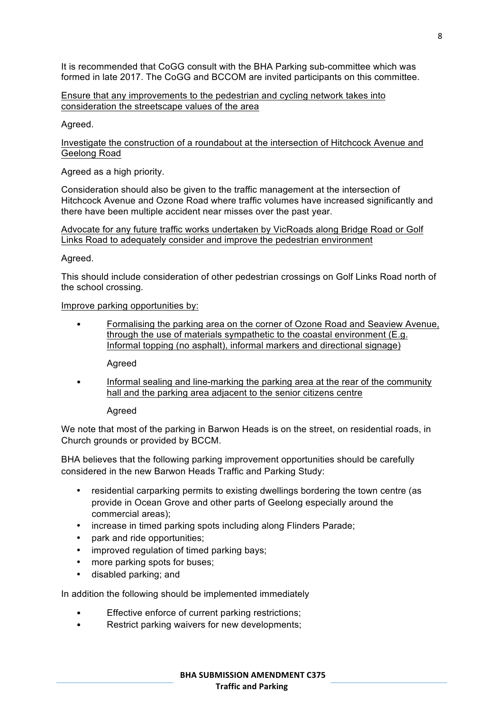It is recommended that CoGG consult with the BHA Parking sub-committee which was formed in late 2017. The CoGG and BCCOM are invited participants on this committee.

Ensure that any improvements to the pedestrian and cycling network takes into consideration the streetscape values of the area

Agreed.

Investigate the construction of a roundabout at the intersection of Hitchcock Avenue and Geelong Road

Agreed as a high priority.

Consideration should also be given to the traffic management at the intersection of Hitchcock Avenue and Ozone Road where traffic volumes have increased significantly and there have been multiple accident near misses over the past year.

Advocate for any future traffic works undertaken by VicRoads along Bridge Road or Golf Links Road to adequately consider and improve the pedestrian environment

Agreed.

This should include consideration of other pedestrian crossings on Golf Links Road north of the school crossing.

Improve parking opportunities by:

• Formalising the parking area on the corner of Ozone Road and Seaview Avenue, through the use of materials sympathetic to the coastal environment (E.g. Informal topping (no asphalt), informal markers and directional signage)

Agreed

• Informal sealing and line-marking the parking area at the rear of the community hall and the parking area adjacent to the senior citizens centre

Agreed

We note that most of the parking in Barwon Heads is on the street, on residential roads, in Church grounds or provided by BCCM.

BHA believes that the following parking improvement opportunities should be carefully considered in the new Barwon Heads Traffic and Parking Study:

- residential carparking permits to existing dwellings bordering the town centre (as provide in Ocean Grove and other parts of Geelong especially around the commercial areas);
- increase in timed parking spots including along Flinders Parade;
- park and ride opportunities;
- improved regulation of timed parking bays;
- more parking spots for buses;
- disabled parking; and

In addition the following should be implemented immediately

- Effective enforce of current parking restrictions;
- Restrict parking waivers for new developments;